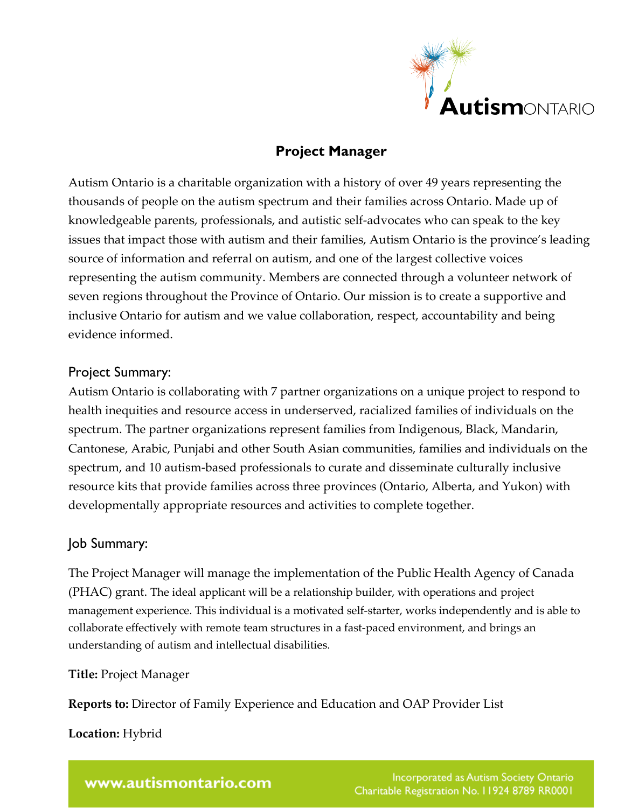

# **Project Manager**

Autism Ontario is a charitable organization with a history of over 49 years representing the thousands of people on the autism spectrum and their families across Ontario. Made up of knowledgeable parents, professionals, and autistic self-advocates who can speak to the key issues that impact those with autism and their families, Autism Ontario is the province's leading source of information and referral on autism, and one of the largest collective voices representing the autism community. Members are connected through a volunteer network of seven regions throughout the Province of Ontario. Our mission is to create a supportive and inclusive Ontario for autism and we value collaboration, respect, accountability and being evidence informed.

## Project Summary:

Autism Ontario is collaborating with 7 partner organizations on a unique project to respond to health inequities and resource access in underserved, racialized families of individuals on the spectrum. The partner organizations represent families from Indigenous, Black, Mandarin, Cantonese, Arabic, Punjabi and other South Asian communities, families and individuals on the spectrum, and 10 autism-based professionals to curate and disseminate culturally inclusive resource kits that provide families across three provinces (Ontario, Alberta, and Yukon) with developmentally appropriate resources and activities to complete together.

# Job Summary:

The Project Manager will manage the implementation of the Public Health Agency of Canada (PHAC) grant. The ideal applicant will be a relationship builder, with operations and project management experience. This individual is a motivated self-starter, works independently and is able to collaborate effectively with remote team structures in a fast-paced environment, and brings an understanding of autism and intellectual disabilities.

### **Title:** Project Manager

**Reports to:** Director of Family Experience and Education and OAP Provider List

**Location:** Hybrid

www.autismontario.com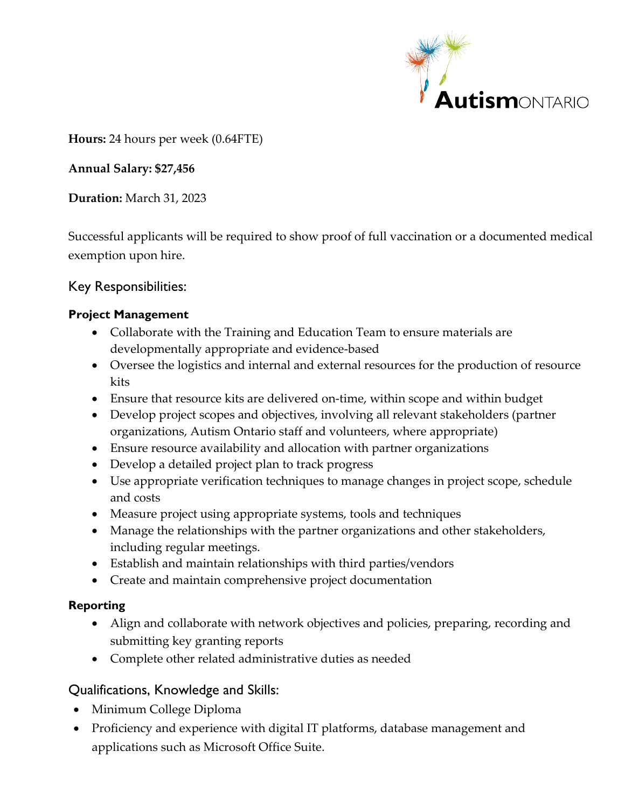

**Hours:** 24 hours per week (0.64FTE)

### **Annual Salary: \$27,456**

**Duration:** March 31, 2023

Successful applicants will be required to show proof of full vaccination or a documented medical exemption upon hire.

Key Responsibilities:

### **Project Management**

- Collaborate with the Training and Education Team to ensure materials are developmentally appropriate and evidence-based
- Oversee the logistics and internal and external resources for the production of resource kits
- Ensure that resource kits are delivered on-time, within scope and within budget
- Develop project scopes and objectives, involving all relevant stakeholders (partner organizations, Autism Ontario staff and volunteers, where appropriate)
- Ensure resource availability and allocation with partner organizations
- Develop a detailed project plan to track progress
- Use appropriate verification techniques to manage changes in project scope, schedule and costs
- Measure project using appropriate systems, tools and techniques
- Manage the relationships with the partner organizations and other stakeholders, including regular meetings.
- Establish and maintain relationships with third parties/vendors
- Create and maintain comprehensive project documentation

### **Reporting**

- Align and collaborate with network objectives and policies, preparing, recording and submitting key granting reports
- Complete other related administrative duties as needed

## Qualifications, Knowledge and Skills:

- Minimum College Diploma
- Proficiency and experience with digital IT platforms, database management and applications such as Microsoft Office Suite.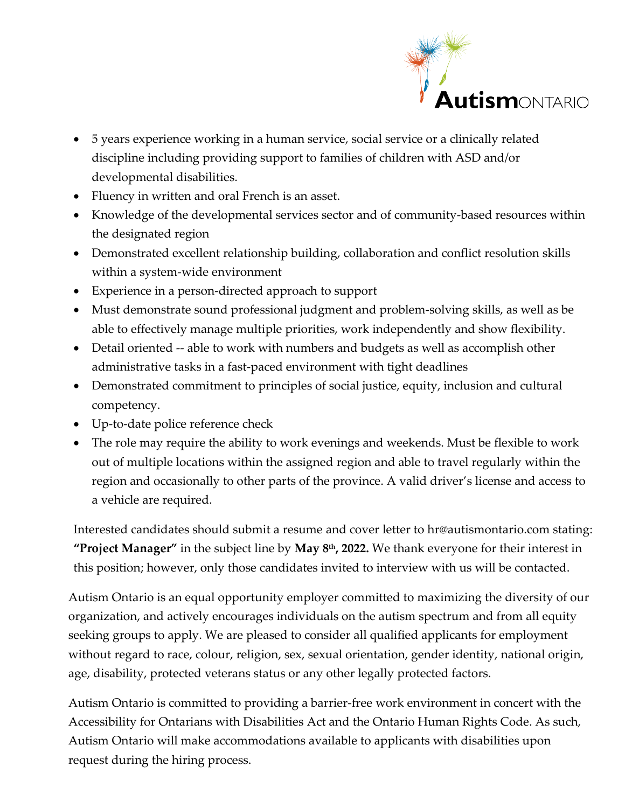

- 5 years experience working in a human service, social service or a clinically related discipline including providing support to families of children with ASD and/or developmental disabilities.
- Fluency in written and oral French is an asset.
- Knowledge of the developmental services sector and of community-based resources within the designated region
- Demonstrated excellent relationship building, collaboration and conflict resolution skills within a system-wide environment
- Experience in a person-directed approach to support
- Must demonstrate sound professional judgment and problem-solving skills, as well as be able to effectively manage multiple priorities, work independently and show flexibility.
- Detail oriented -- able to work with numbers and budgets as well as accomplish other administrative tasks in a fast-paced environment with tight deadlines
- Demonstrated commitment to principles of social justice, equity, inclusion and cultural competency.
- Up-to-date police reference check
- The role may require the ability to work evenings and weekends. Must be flexible to work out of multiple locations within the assigned region and able to travel regularly within the region and occasionally to other parts of the province. A valid driver's license and access to a vehicle are required.

Interested candidates should submit a resume and cover letter to [hr@autismontario.com](mailto:hr@autismontario.com) stating: **"Project Manager"** in the subject line by **May 8th, 2022.** We thank everyone for their interest in this position; however, only those candidates invited to interview with us will be contacted.

Autism Ontario is an equal opportunity employer committed to maximizing the diversity of our organization, and actively encourages individuals on the autism spectrum and from all equity seeking groups to apply. We are pleased to consider all qualified applicants for employment without regard to race, colour, religion, sex, sexual orientation, gender identity, national origin, age, disability, protected veterans status or any other legally protected factors.

Autism Ontario is committed to providing a barrier-free work environment in concert with the Accessibility for Ontarians with Disabilities Act and the Ontario Human Rights Code. As such, Autism Ontario will make accommodations available to applicants with disabilities upon request during the hiring process.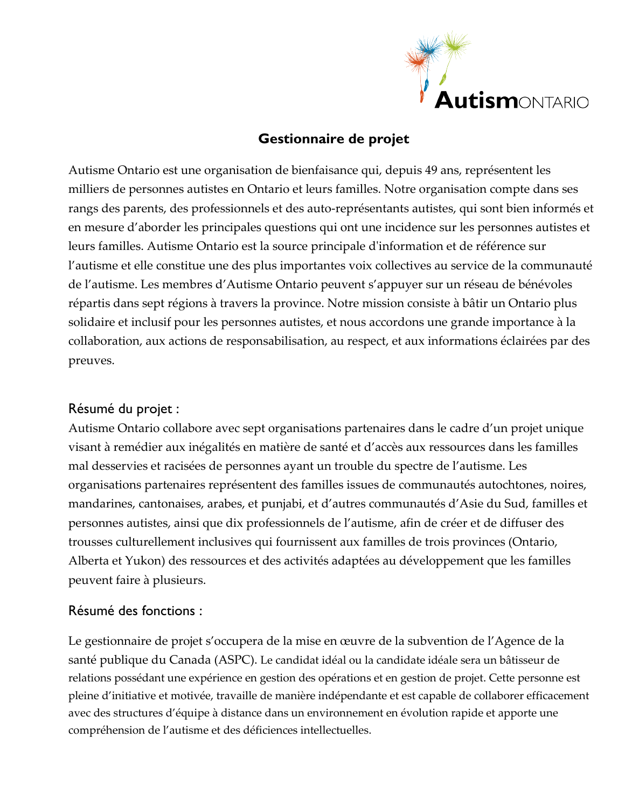

# **Gestionnaire de projet**

Autisme Ontario est une organisation de bienfaisance qui, depuis 49 ans, représentent les milliers de personnes autistes en Ontario et leurs familles. Notre organisation compte dans ses rangs des parents, des professionnels et des auto-représentants autistes, qui sont bien informés et en mesure d'aborder les principales questions qui ont une incidence sur les personnes autistes et leurs familles. Autisme Ontario est la source principale d'information et de référence sur l'autisme et elle constitue une des plus importantes voix collectives au service de la communauté de l'autisme. Les membres d'Autisme Ontario peuvent s'appuyer sur un réseau de bénévoles répartis dans sept régions à travers la province. Notre mission consiste à bâtir un Ontario plus solidaire et inclusif pour les personnes autistes, et nous accordons une grande importance à la collaboration, aux actions de responsabilisation, au respect, et aux informations éclairées par des preuves.

## Résumé du projet :

Autisme Ontario collabore avec sept organisations partenaires dans le cadre d'un projet unique visant à remédier aux inégalités en matière de santé et d'accès aux ressources dans les familles mal desservies et racisées de personnes ayant un trouble du spectre de l'autisme. Les organisations partenaires représentent des familles issues de communautés autochtones, noires, mandarines, cantonaises, arabes, et punjabi, et d'autres communautés d'Asie du Sud, familles et personnes autistes, ainsi que dix professionnels de l'autisme, afin de créer et de diffuser des trousses culturellement inclusives qui fournissent aux familles de trois provinces (Ontario, Alberta et Yukon) des ressources et des activités adaptées au développement que les familles peuvent faire à plusieurs.

## Résumé des fonctions :

Le gestionnaire de projet s'occupera de la mise en œuvre de la subvention de l'Agence de la santé publique du Canada (ASPC). Le candidat idéal ou la candidate idéale sera un bâtisseur de relations possédant une expérience en gestion des opérations et en gestion de projet. Cette personne est pleine d'initiative et motivée, travaille de manière indépendante et est capable de collaborer efficacement avec des structures d'équipe à distance dans un environnement en évolution rapide et apporte une compréhension de l'autisme et des déficiences intellectuelles.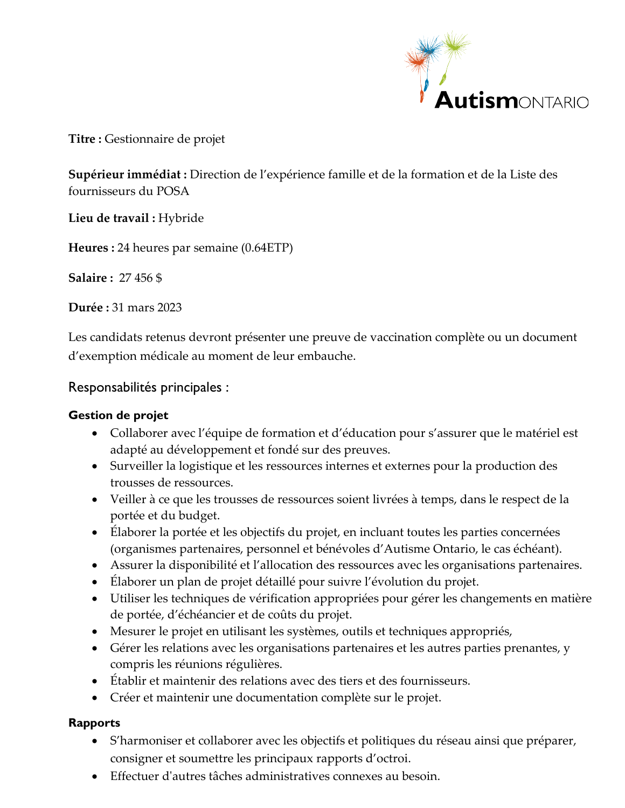

**Titre :** Gestionnaire de projet

**Supérieur immédiat :** Direction de l'expérience famille et de la formation et de la Liste des fournisseurs du POSA

**Lieu de travail :** Hybride

**Heures :** 24 heures par semaine (0.64ETP)

**Salaire :** 27 456 \$

**Durée :** 31 mars 2023

Les candidats retenus devront présenter une preuve de vaccination complète ou un document d'exemption médicale au moment de leur embauche.

### Responsabilités principales :

### **Gestion de projet**

- Collaborer avec l'équipe de formation et d'éducation pour s'assurer que le matériel est adapté au développement et fondé sur des preuves.
- Surveiller la logistique et les ressources internes et externes pour la production des trousses de ressources.
- Veiller à ce que les trousses de ressources soient livrées à temps, dans le respect de la portée et du budget.
- Élaborer la portée et les objectifs du projet, en incluant toutes les parties concernées (organismes partenaires, personnel et bénévoles d'Autisme Ontario, le cas échéant).
- Assurer la disponibilité et l'allocation des ressources avec les organisations partenaires.
- Élaborer un plan de projet détaillé pour suivre l'évolution du projet.
- Utiliser les techniques de vérification appropriées pour gérer les changements en matière de portée, d'échéancier et de coûts du projet.
- Mesurer le projet en utilisant les systèmes, outils et techniques appropriés,
- Gérer les relations avec les organisations partenaires et les autres parties prenantes, y compris les réunions régulières.
- Établir et maintenir des relations avec des tiers et des fournisseurs.
- Créer et maintenir une documentation complète sur le projet.

### **Rapports**

- S'harmoniser et collaborer avec les objectifs et politiques du réseau ainsi que préparer, consigner et soumettre les principaux rapports d'octroi.
- Effectuer d'autres tâches administratives connexes au besoin.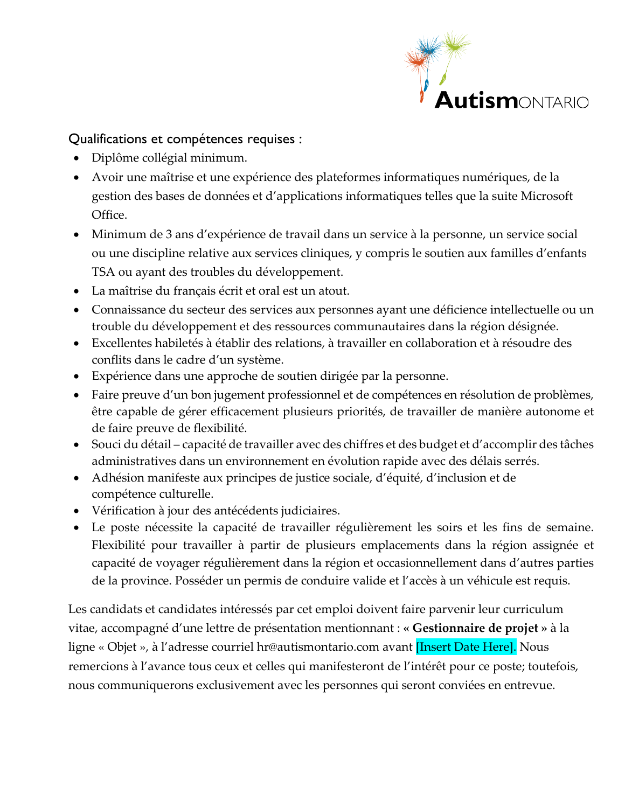

## Qualifications et compétences requises :

- Diplôme collégial minimum.
- Avoir une maîtrise et une expérience des plateformes informatiques numériques, de la gestion des bases de données et d'applications informatiques telles que la suite Microsoft Office.
- Minimum de 3 ans d'expérience de travail dans un service à la personne, un service social ou une discipline relative aux services cliniques, y compris le soutien aux familles d'enfants TSA ou ayant des troubles du développement.
- La maîtrise du français écrit et oral est un atout.
- Connaissance du secteur des services aux personnes ayant une déficience intellectuelle ou un trouble du développement et des ressources communautaires dans la région désignée.
- Excellentes habiletés à établir des relations, à travailler en collaboration et à résoudre des conflits dans le cadre d'un système.
- Expérience dans une approche de soutien dirigée par la personne.
- Faire preuve d'un bon jugement professionnel et de compétences en résolution de problèmes, être capable de gérer efficacement plusieurs priorités, de travailler de manière autonome et de faire preuve de flexibilité.
- Souci du détail capacité de travailler avec des chiffres et des budget et d'accomplir des tâches administratives dans un environnement en évolution rapide avec des délais serrés.
- Adhésion manifeste aux principes de justice sociale, d'équité, d'inclusion et de compétence culturelle.
- Vérification à jour des antécédents judiciaires.
- Le poste nécessite la capacité de travailler régulièrement les soirs et les fins de semaine. Flexibilité pour travailler à partir de plusieurs emplacements dans la région assignée et capacité de voyager régulièrement dans la région et occasionnellement dans d'autres parties de la province. Posséder un permis de conduire valide et l'accès à un véhicule est requis.

Les candidats et candidates intéressés par cet emploi doivent faire parvenir leur curriculum vitae, accompagné d'une lettre de présentation mentionnant : **« Gestionnaire de projet »** à la ligne « Objet », à l'adresse courriel hr@autismontario.com avant [Insert Date Here]. Nous remercions à l'avance tous ceux et celles qui manifesteront de l'intérêt pour ce poste; toutefois, nous communiquerons exclusivement avec les personnes qui seront conviées en entrevue.